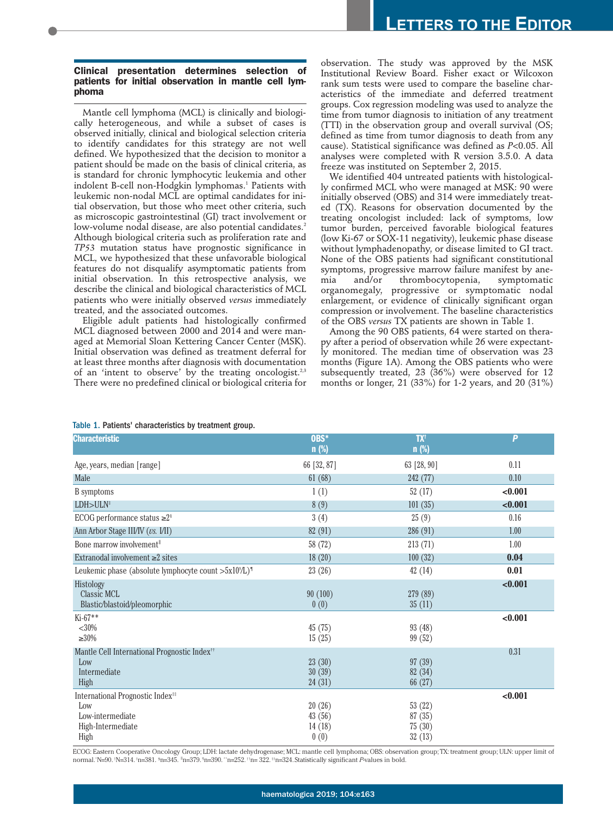## **Clinical presentation determines selection of patients for initial observation in mantle cell lymphoma**

Mantle cell lymphoma (MCL) is clinically and biologically heterogeneous, and while a subset of cases is observed initially, clinical and biological selection criteria to identify candidates for this strategy are not well defined. We hypothesized that the decision to monitor a patient should be made on the basis of clinical criteria, as is standard for chronic lymphocytic leukemia and other indolent B-cell non-Hodgkin lymphomas.<sup>1</sup> Patients with leukemic non-nodal MCL are optimal candidates for initial observation, but those who meet other criteria, such as microscopic gastrointestinal (GI) tract involvement or low-volume nodal disease, are also potential candidates.<sup>2</sup> Although biological criteria such as proliferation rate and *TP53* mutation status have prognostic significance in MCL, we hypothesized that these unfavorable biological features do not disqualify asymptomatic patients from initial observation. In this retrospective analysis, we describe the clinical and biological characteristics of MCL patients who were initially observed *versus* immediately treated, and the associated outcomes.

Eligible adult patients had histologically confirmed MCL diagnosed between 2000 and 2014 and were managed at Memorial Sloan Kettering Cancer Center (MSK). Initial observation was defined as treatment deferral for at least three months after diagnosis with documentation of an 'intent to observe' by the treating oncologist.<sup>2,3</sup> There were no predefined clinical or biological criteria for observation. The study was approved by the MSK Institutional Review Board. Fisher exact or Wilcoxon rank sum tests were used to compare the baseline characteristics of the immediate and deferred treatment groups. Cox regression modeling was used to analyze the time from tumor diagnosis to initiation of any treatment (TTI) in the observation group and overall survival (OS; defined as time from tumor diagnosis to death from any cause). Statistical significance was defined as *P*<0.05. All analyses were completed with R version 3.5.0. A data freeze was instituted on September 2, 2015.

We identified 404 untreated patients with histologically confirmed MCL who were managed at MSK: 90 were initially observed (OBS) and 314 were immediately treated (TX). Reasons for observation documented by the treating oncologist included: lack of symptoms, low tumor burden, perceived favorable biological features (low Ki-67 or SOX-11 negativity), leukemic phase disease without lymphadenopathy, or disease limited to GI tract. None of the OBS patients had significant constitutional symptoms, progressive marrow failure manifest by anemia and/or thrombocytopenia, symptomatic organomegaly, progressive or symptomatic nodal enlargement, or evidence of clinically significant organ compression or involvement. The baseline characteristics of the OBS *versus* TX patients are shown in Table 1.

Among the 90 OBS patients, 64 were started on therapy after a period of observation while 26 were expectantly monitored. The median time of observation was 23 months (Figure 1A). Among the OBS patients who were subsequently treated, 23 (36%) were observed for 12 months or longer, 21 (33%) for 1-2 years, and 20 (31%)

## Table 1. Patients' characteristics by treatment group.

| <b>Characteristic</b>                                                | OBS*<br>$n$ (%)            | <b>TX<sup>t</sup></b><br>$n$ (%) | P       |
|----------------------------------------------------------------------|----------------------------|----------------------------------|---------|
| Age, years, median [range]                                           | 66 [32, 87]                | 63 [28, 90]                      | 0.11    |
| Male                                                                 | 61(68)                     | 242 (77)                         | 0.10    |
| <b>B</b> symptoms                                                    | 1(1)                       | 52(17)                           | < 0.001 |
| LDH > ULN <sup>‡</sup>                                               | 8(9)                       | 101(35)                          | < 0.001 |
| ECOG performance status $\geq 2$ <sup>§</sup>                        | 3(4)                       | 25(9)                            | 0.16    |
| Ann Arbor Stage III/IV (vs. I/II)                                    | 82 (91)                    | 286 (91)                         | 1.00    |
| Bone marrow involvement <sup>"</sup>                                 | 58 (72)                    | 213(71)                          | 1.00    |
| Extranodal involvement $\geq 2$ sites                                | 18(20)                     | 100(32)                          | 0.04    |
| Leukemic phase (absolute lymphocyte count $>5x10^9/L$ ) <sup>1</sup> | 23(26)                     | 42(14)                           | 0.01    |
| Histology<br><b>Classic MCL</b><br>Blastic/blastoid/pleomorphic      | 90(100)<br>0(0)            | 279 (89)<br>35(11)               | < 0.001 |
| $Ki-67**$                                                            |                            |                                  | < 0.001 |
| $<$ 30%<br>$\geq 30\%$                                               | 45(75)<br>15(25)           | 93(48)<br>99(52)                 |         |
| Mantle Cell International Prognostic Index <sup>†</sup> †            |                            |                                  | 0.31    |
| Low<br>Intermediate<br>High                                          | 23(30)<br>30(39)<br>24(31) | 97(39)<br>82 (34)<br>66 (27)     |         |
| International Prognostic Index <sup>##</sup>                         |                            |                                  | < 0.001 |
| Low<br>Low-intermediate<br>High-Intermediate                         | 20(26)<br>43(56)<br>14(18) | 53(22)<br>87(35)<br>75(30)       |         |
| High                                                                 | 0(0)                       | 32(13)                           |         |

ECOG: Eastern Cooperative Oncology Group; LDH: lactate dehydrogenase; MCL: mantle cell lymphoma; OBS: observation group; TX: treatment group; ULN: upper limit of normal."N=90. !N=314. <sup>‡</sup>n=381. <sup>§</sup>n=345. <sup>|</sup>n=379. <sup>\*</sup>n=390. "`n=252. <sup>†1</sup>n=322. <sup>‡‡</sup>n=324. Statistically significant *P*-values in bold.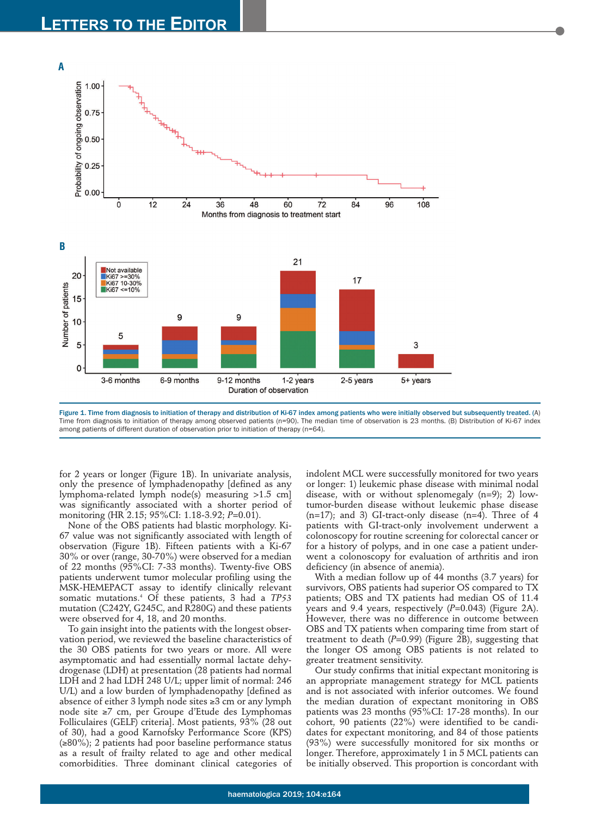

Figure 1. Time from diagnosis to initiation of therapy and distribution of Ki-67 index among patients who were initially observed but subsequently treated. (A) Time from diagnosis to initiation of therapy among observed patients (n=90). The median time of observation is 23 months. (B) Distribution of Ki-67 index among patients of different duration of observation prior to initiation of therapy (n=64).

for 2 years or longer (Figure 1B). In univariate analysis, only the presence of lymphadenopathy [defined as any lymphoma-related lymph node(s) measuring >1.5 cm] was significantly associated with a shorter period of monitoring (HR 2.15; 95%CI: 1.18-3.92; *P*=0.01).

None of the OBS patients had blastic morphology. Ki-67 value was not significantly associated with length of observation (Figure 1B). Fifteen patients with a Ki-67 30% or over (range, 30-70%) were observed for a median of 22 months (95%CI: 7-33 months). Twenty-five OBS patients underwent tumor molecular profiling using the MSK-HEMEPACT assay to identify clinically relevant somatic mutations.4 Of these patients, 3 had a *TP53* mutation (C242Y, G245C, and R280G) and these patients were observed for 4, 18, and 20 months.

To gain insight into the patients with the longest observation period, we reviewed the baseline characteristics of the 30 OBS patients for two years or more. All were asymptomatic and had essentially normal lactate dehydrogenase (LDH) at presentation (28 patients had normal LDH and 2 had LDH 248 U/L; upper limit of normal: 246 U/L) and a low burden of lymphadenopathy [defined as absence of either 3 lymph node sites ≥3 cm or any lymph node site ≥7 cm, per Groupe d'Etude des Lymphomas Folliculaires (GELF) criteria]. Most patients, 93% (28 out of 30), had a good Karnofsky Performance Score (KPS) (≥80%); 2 patients had poor baseline performance status as a result of frailty related to age and other medical comorbidities. Three dominant clinical categories of

indolent MCL were successfully monitored for two years or longer: 1) leukemic phase disease with minimal nodal disease, with or without splenomegaly (n=9); 2) lowtumor-burden disease without leukemic phase disease  $(n=17)$ ; and 3) GI-tract-only disease  $(n=4)$ . Three of 4 patients with GI-tract-only involvement underwent a colonoscopy for routine screening for colorectal cancer or for a history of polyps, and in one case a patient underwent a colonoscopy for evaluation of arthritis and iron deficiency (in absence of anemia).

With a median follow up of 44 months (3.7 years) for survivors, OBS patients had superior OS compared to TX patients; OBS and TX patients had median OS of 11.4 years and 9.4 years, respectively (*P*=0.043) (Figure 2A). However, there was no difference in outcome between OBS and TX patients when comparing time from start of treatment to death (*P*=0.99) (Figure 2B), suggesting that the longer OS among OBS patients is not related to greater treatment sensitivity.

Our study confirms that initial expectant monitoring is an appropriate management strategy for MCL patients and is not associated with inferior outcomes. We found the median duration of expectant monitoring in OBS patients was 23 months (95%CI: 17-28 months). In our cohort, 90 patients (22%) were identified to be candidates for expectant monitoring, and 84 of those patients (93%) were successfully monitored for six months or longer. Therefore, approximately 1 in 5 MCL patients can be initially observed. This proportion is concordant with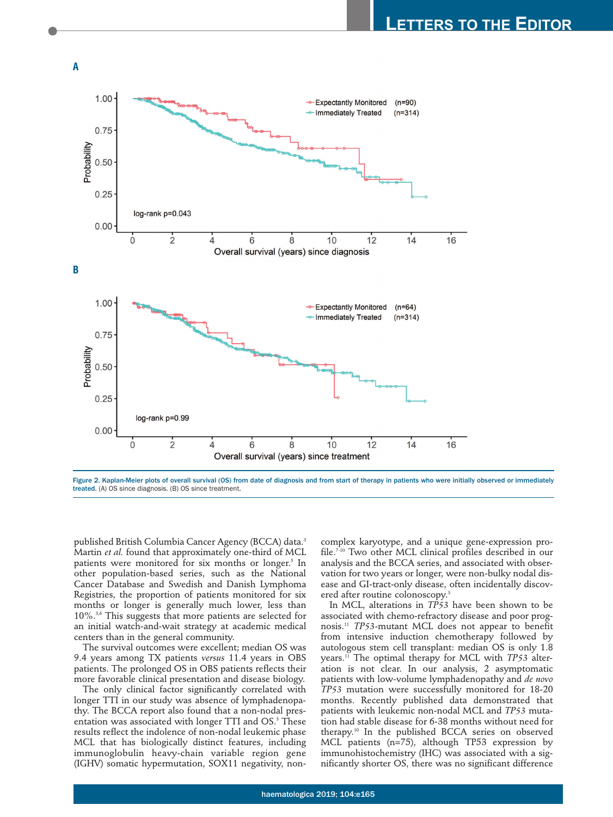

Figure 2. Kaplan-Meier plots of overall survival (OS) from date of diagnosis and from start of therapy in patients who were initially observed or immediately treated. (A) OS since diagnosis. (B) OS since treatment.

published British Columbia Cancer Agency (BCCA) data.3 Martin *et al.* found that approximately one-third of MCL patients were monitored for six months or longer.<sup>5</sup> In other population-based series, such as the National Cancer Database and Swedish and Danish Lymphoma Registries, the proportion of patients monitored for six months or longer is generally much lower, less than 10%.3,6 This suggests that more patients are selected for an initial watch-and-wait strategy at academic medical centers than in the general community.

The survival outcomes were excellent; median OS was 9.4 years among TX patients *versus* 11.4 years in OBS patients. The prolonged OS in OBS patients reflects their more favorable clinical presentation and disease biology.

The only clinical factor significantly correlated with longer TTI in our study was absence of lymphadenopathy. The BCCA report also found that a non-nodal presentation was associated with longer TTI and OS.<sup>3</sup> These results reflect the indolence of non-nodal leukemic phase MCL that has biologically distinct features, including immunoglobulin heavy-chain variable region gene (IGHV) somatic hypermutation, SOX11 negativity, noncomplex karyotype, and a unique gene-expression profile.7-10 Two other MCL clinical profiles described in our analysis and the BCCA series, and associated with observation for two years or longer, were non-bulky nodal disease and GI-tract-only disease, often incidentally discovered after routine colonoscopy.<sup>3</sup>

In MCL, alterations in *TP53* have been shown to be associated with chemo-refractory disease and poor prognosis.11 *TP53*-mutant MCL does not appear to benefit from intensive induction chemotherapy followed by autologous stem cell transplant: median OS is only 1.8 years.11 The optimal therapy for MCL with *TP53* alteration is not clear. In our analysis, 2 asymptomatic patients with low-volume lymphadenopathy and *de novo TP53* mutation were successfully monitored for 18-20 months. Recently published data demonstrated that patients with leukemic non-nodal MCL and *TP53* mutation had stable disease for 6-38 months without need for therapy.10 In the published BCCA series on observed MCL patients (n=75), although TP53 expression by immunohistochemistry (IHC) was associated with a significantly shorter OS, there was no significant difference